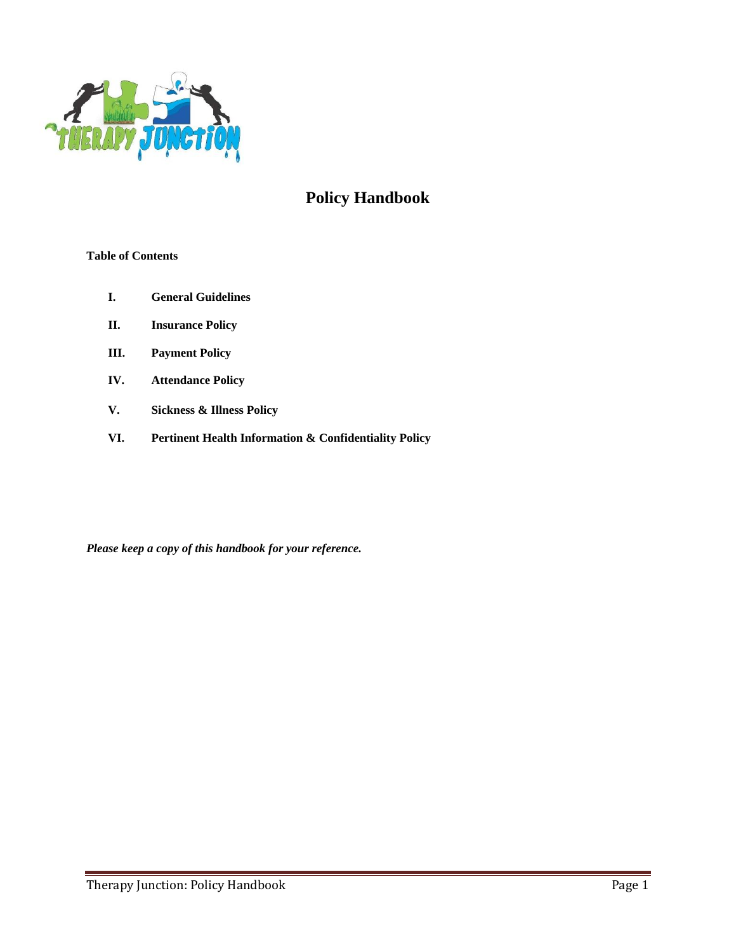

# **Policy Handbook**

## **Table of Contents**

- **I. General Guidelines**
- **II. Insurance Policy**
- **III. Payment Policy**
- **IV. Attendance Policy**
- **V. Sickness & Illness Policy**
- **VI. Pertinent Health Information & Confidentiality Policy**

*Please keep a copy of this handbook for your reference.*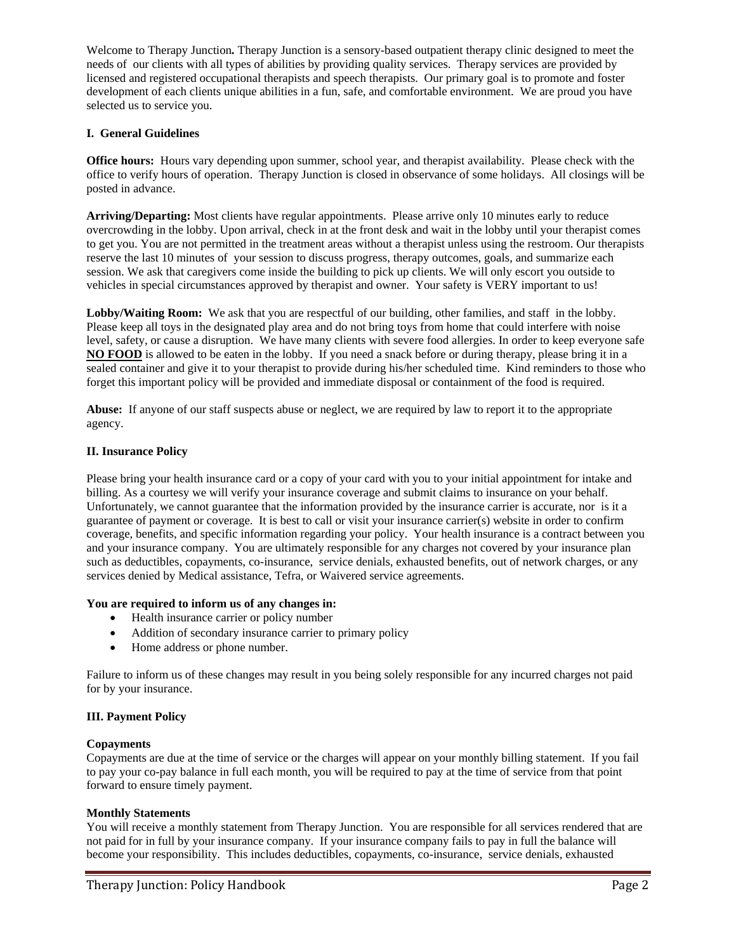Welcome to Therapy Junction*.* Therapy Junction is a sensory-based outpatient therapy clinic designed to meet the needs of our clients with all types of abilities by providing quality services. Therapy services are provided by licensed and registered occupational therapists and speech therapists. Our primary goal is to promote and foster development of each clients unique abilities in a fun, safe, and comfortable environment. We are proud you have selected us to service you.

#### **I. General Guidelines**

**Office hours:** Hours vary depending upon summer, school year, and therapist availability. Please check with the office to verify hours of operation.Therapy Junction is closed in observance of some holidays. All closings will be posted in advance.

**Arriving/Departing:** Most clients have regular appointments. Please arrive only 10 minutes early to reduce overcrowding in the lobby. Upon arrival, check in at the front desk and wait in the lobby until your therapist comes to get you. You are not permitted in the treatment areas without a therapist unless using the restroom. Our therapists reserve the last 10 minutes of your session to discuss progress, therapy outcomes, goals, and summarize each session. We ask that caregivers come inside the building to pick up clients. We will only escort you outside to vehicles in special circumstances approved by therapist and owner. Your safety is VERY important to us!

Lobby/Waiting Room: We ask that you are respectful of our building, other families, and staff in the lobby. Please keep all toys in the designated play area and do not bring toys from home that could interfere with noise level, safety, or cause a disruption. We have many clients with severe food allergies. In order to keep everyone safe **NO FOOD** is allowed to be eaten in the lobby. If you need a snack before or during therapy, please bring it in a sealed container and give it to your therapist to provide during his/her scheduled time. Kind reminders to those who forget this important policy will be provided and immediate disposal or containment of the food is required.

**Abuse:** If anyone of our staff suspects abuse or neglect, we are required by law to report it to the appropriate agency.

#### **II. Insurance Policy**

Please bring your health insurance card or a copy of your card with you to your initial appointment for intake and billing. As a courtesy we will verify your insurance coverage and submit claims to insurance on your behalf. Unfortunately, we cannot guarantee that the information provided by the insurance carrier is accurate, nor is it a guarantee of payment or coverage. It is best to call or visit your insurance carrier(s) website in order to confirm coverage, benefits, and specific information regarding your policy. Your health insurance is a contract between you and your insurance company. You are ultimately responsible for any charges not covered by your insurance plan such as deductibles, copayments, co-insurance, service denials, exhausted benefits, out of network charges, or any services denied by Medical assistance, Tefra, or Waivered service agreements.

#### **You are required to inform us of any changes in:**

- Health insurance carrier or policy number
- Addition of secondary insurance carrier to primary policy
- Home address or phone number.

Failure to inform us of these changes may result in you being solely responsible for any incurred charges not paid for by your insurance.

#### **III. Payment Policy**

#### **Copayments**

Copayments are due at the time of service or the charges will appear on your monthly billing statement. If you fail to pay your co-pay balance in full each month, you will be required to pay at the time of service from that point forward to ensure timely payment.

#### **Monthly Statements**

You will receive a monthly statement from Therapy Junction. You are responsible for all services rendered that are not paid for in full by your insurance company. If your insurance company fails to pay in full the balance will become your responsibility. This includes deductibles, copayments, co-insurance, service denials, exhausted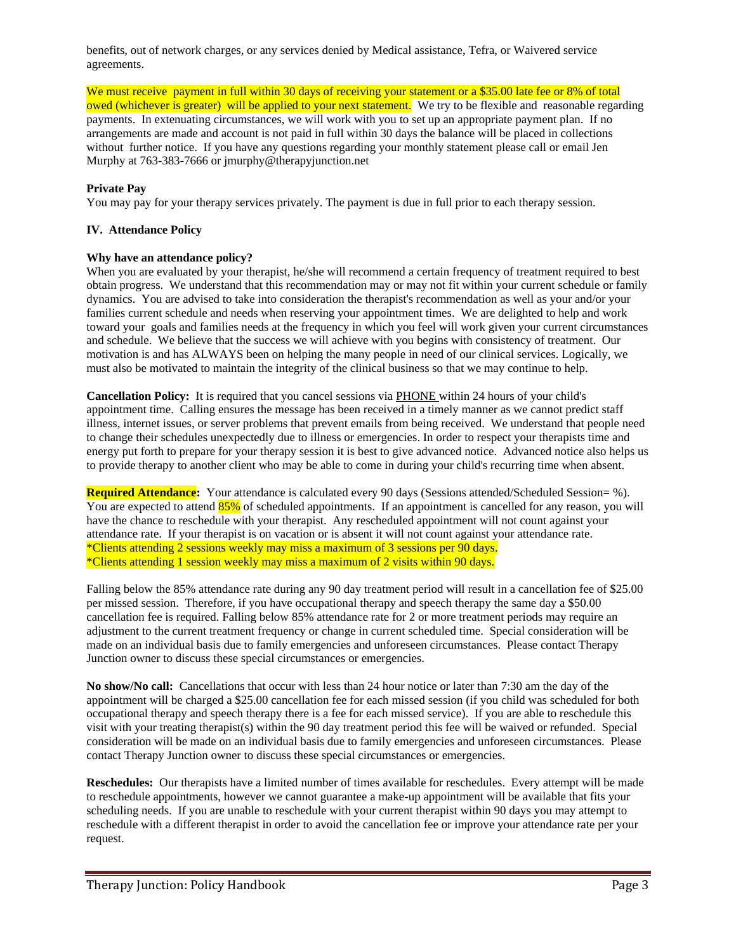benefits, out of network charges, or any services denied by Medical assistance, Tefra, or Waivered service agreements.

We must receive payment in full within 30 days of receiving your statement or a \$35.00 late fee or 8% of total owed (whichever is greater) will be applied to your next statement. We try to be flexible and reasonable regarding payments. In extenuating circumstances, we will work with you to set up an appropriate payment plan. If no arrangements are made and account is not paid in full within 30 days the balance will be placed in collections without further notice. If you have any questions regarding your monthly statement please call or email Jen Murphy at 763-383-7666 or jmurphy@therapyjunction.net

## **Private Pay**

You may pay for your therapy services privately. The payment is due in full prior to each therapy session.

#### **IV. Attendance Policy**

#### **Why have an attendance policy?**

When you are evaluated by your therapist, he/she will recommend a certain frequency of treatment required to best obtain progress. We understand that this recommendation may or may not fit within your current schedule or family dynamics. You are advised to take into consideration the therapist's recommendation as well as your and/or your families current schedule and needs when reserving your appointment times. We are delighted to help and work toward your goals and families needs at the frequency in which you feel will work given your current circumstances and schedule. We believe that the success we will achieve with you begins with consistency of treatment. Our motivation is and has ALWAYS been on helping the many people in need of our clinical services. Logically, we must also be motivated to maintain the integrity of the clinical business so that we may continue to help.

**Cancellation Policy:** It is required that you cancel sessions via PHONE within 24 hours of your child's appointment time. Calling ensures the message has been received in a timely manner as we cannot predict staff illness, internet issues, or server problems that prevent emails from being received. We understand that people need to change their schedules unexpectedly due to illness or emergencies. In order to respect your therapists time and energy put forth to prepare for your therapy session it is best to give advanced notice. Advanced notice also helps us to provide therapy to another client who may be able to come in during your child's recurring time when absent.

**Required Attendance:** Your attendance is calculated every 90 days (Sessions attended/Scheduled Session= %). You are expected to attend 85% of scheduled appointments. If an appointment is cancelled for any reason, you will have the chance to reschedule with your therapist. Any rescheduled appointment will not count against your attendance rate. If your therapist is on vacation or is absent it will not count against your attendance rate. \*Clients attending 2 sessions weekly may miss a maximum of 3 sessions per 90 days. \*Clients attending 1 session weekly may miss a maximum of 2 visits within 90 days.

Falling below the 85% attendance rate during any 90 day treatment period will result in a cancellation fee of \$25.00 per missed session. Therefore, if you have occupational therapy and speech therapy the same day a \$50.00 cancellation fee is required. Falling below 85% attendance rate for 2 or more treatment periods may require an adjustment to the current treatment frequency or change in current scheduled time. Special consideration will be made on an individual basis due to family emergencies and unforeseen circumstances. Please contact Therapy Junction owner to discuss these special circumstances or emergencies.

**No show/No call:** Cancellations that occur with less than 24 hour notice or later than 7:30 am the day of the appointment will be charged a \$25.00 cancellation fee for each missed session (if you child was scheduled for both occupational therapy and speech therapy there is a fee for each missed service). If you are able to reschedule this visit with your treating therapist(s) within the 90 day treatment period this fee will be waived or refunded. Special consideration will be made on an individual basis due to family emergencies and unforeseen circumstances. Please contact Therapy Junction owner to discuss these special circumstances or emergencies.

**Reschedules:** Our therapists have a limited number of times available for reschedules. Every attempt will be made to reschedule appointments, however we cannot guarantee a make-up appointment will be available that fits your scheduling needs. If you are unable to reschedule with your current therapist within 90 days you may attempt to reschedule with a different therapist in order to avoid the cancellation fee or improve your attendance rate per your request.